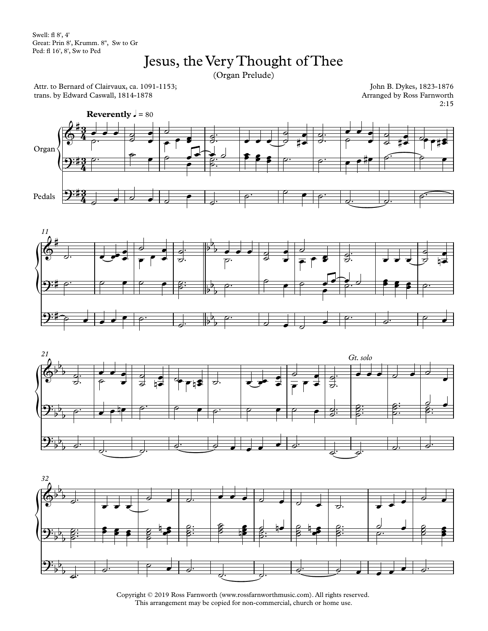Swell: fl 8', 4' Great: Prin 8', Krumm. 8'', Sw to Gr Ped: fl 16',8', Sw to Ped

## Jesus, the Very Thought of Thee

(Organ Prelude)

Attr. to Bernard of Clairvaux, ca. 1091-1153; trans. by Edward Caswall, 1814-1878

John B. Dykes, 1823-1876 Arranged by Ross Farnworth 2:15









Copyright © 2019 Ross Farnworth (www.rossfarnworthmusic.com). All rights reserved. This arrangement may be copied for non-commercial, church or home use.